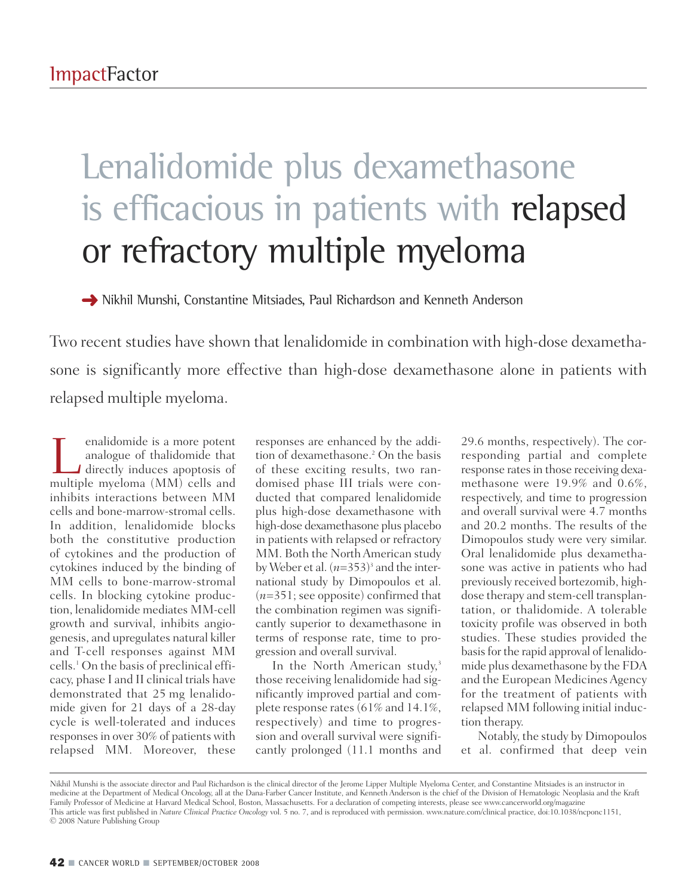## Lenalidomide plus dexamethasone is efficacious in patients with relapsed or refractory multiple myeloma

**➜** Nikhil Munshi, Constantine Mitsiades, Paul Richardson and Kenneth Anderson

Two recent studies have shown that lenalidomide in combination with high-dose dexamethasone is significantly more effective than high-dose dexamethasone alone in patients with relapsed multiple myeloma.

**Lenalidomide is a more potent<br>
analogue of thalidomide that<br>
directly induces apoptosis of<br>
multiple myeloma (MM) cells and** analogue of thalidomide that multiple myeloma (MM) cells and inhibits interactions between MM cells and bone-marrow-stromal cells. In addition, lenalidomide blocks both the constitutive production of cytokines and the production of cytokines induced by the binding of MM cells to bone-marrow-stromal cells. In blocking cytokine production, lenalidomide mediates MM-cell growth and survival, inhibits angiogenesis, and upregulates natural killer and T-cell responses against MM cells. <sup>1</sup> On the basis of preclinical efficacy, phase I and II clinical trials have demonstrated that 25 mg lenalidomide given for 21 days of a 28-day cycle is well-tolerated and induces responses in over 30% of patients with relapsed MM. Moreover, these

responses are enhanced by the addition of dexamethasone. <sup>2</sup> On the basis of these exciting results, two randomised phase III trials were conducted that compared lenalidomide plus high-dose dexamethasone with high-dose dexamethasone plus placebo in patients with relapsed or refractory MM. Both the North American study by Weber et al. (*n*=353) <sup>3</sup> and the international study by Dimopoulos et al. (*n*=351; see opposite) confirmed that the combination regimen was significantly superior to dexamethasone in terms of response rate, time to progression and overall survival.

In the North American study, 3 those receiving lenalidomide had significantly improved partial and complete response rates(61% and 14.1%, respectively) and time to progression and overall survival were significantly prolonged (11.1 months and 29.6 months, respectively). The corresponding partial and complete response rates in those receiving dexamethasone were 19.9% and 0.6%, respectively, and time to progression and overall survival were 4.7 months and 20.2 months. The results of the Dimopoulos study were very similar. Oral lenalidomide plus dexamethasone was active in patients who had previously received bortezomib, highdose therapy and stem-cell transplantation, or thalidomide. A tolerable toxicity profile was observed in both studies. These studies provided the basisfor the rapid approval of lenalidomide plus dexamethasone by the FDA and the European Medicines Agency for the treatment of patients with relapsed MM following initial induction therapy.

Notably, the study by Dimopoulos et al. confirmed that deep vein

Nikhil Munshi is the associate director and Paul Richardson is the clinical director of the Jerome Lipper Multiple Myeloma Center, and Constantine Mitsiades is an instructor in medicine at the Department of Medical Oncology, all at the Dana-Farber Cancer Institute, and Kenneth Anderson is the chief of the Division of Hematologic Neoplasia and the Kraft Family Professor of Medicine at Harvard Medical School, Boston, Massachusetts. For a declaration of competing interests, please see www.cancerworld.org/magazine This article was first published in *Nature Clinical Practice Oncology* vol. 5 no. 7, and is reproduced with permission. www.nature.com/clinical practice, doi:10.1038/ncponc1151, © 2008 Nature Publishing Group